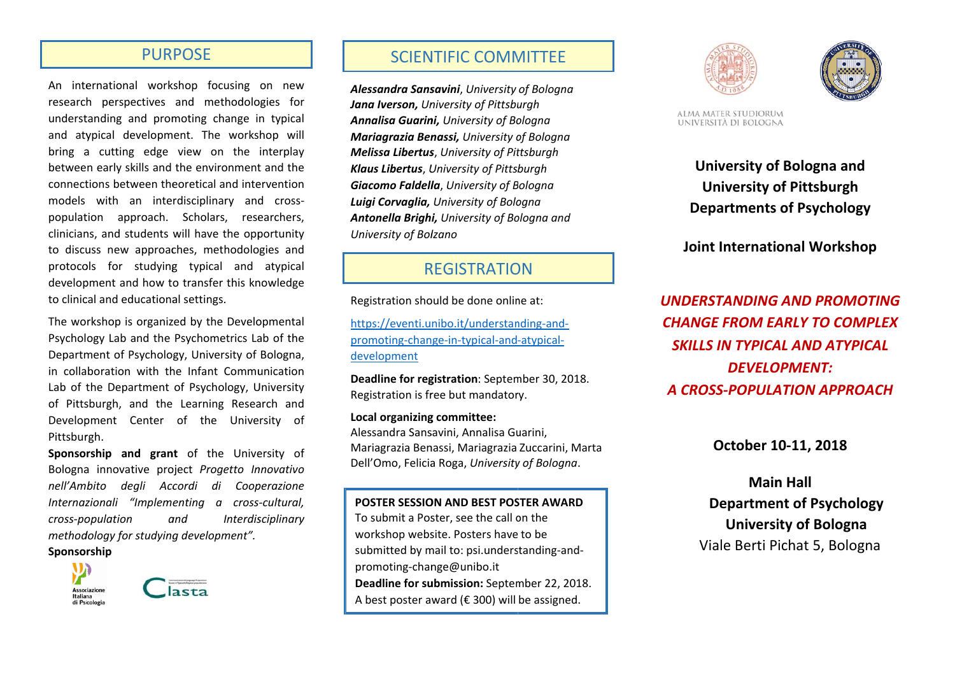### **PURPOSE**

An international workshop focusing on new research perspectives and methodologies for understanding and promoting change in typical and atypical development. The workshop will bring a cutting edge view on the interplay between early skills and the environment and the connections between theoretical and intervention models with an interdisciplinary and crosspopulation approach. Scholars, researchers, clinicians, and students will have the opportunity to discuss new approaches, methodologies and protocols for studying typical and atypical development and how to transfer this knowledge to clinical and educational settings.

The workshop is organized by the Developmental Psychology Lab and the Psychometrics Lab of the Department of Psychology, University of Bologna, in collaboration with the Infant Communication Lab of the Department of Psychology, University of Pittsburgh, and the Learning Research and Development Center of the University of Pittsburgh.

Sponsorship and grant of the University of Bologna innovative project Progetto Innovativo nell'Ambito degli Accordi di Cooperazione Internazionali "Implementing a cross-cultural, cross-population and Interdisciplinary methodology for studying development".

#### Sponsorship





## **SCIENTIFIC COMMITTEE**

Alessandra Sansavini. University of Boloana **Jana Iverson.** University of Pittsburgh Annalisa Guarini, University of Bologna Mariagrazia Benassi, University of Bologna **Melissa Libertus, University of Pittsburgh** Klaus Libertus, University of Pittsburgh Giacomo Faldella, University of Bologna Luigi Corvaglia, University of Bologna Antonella Brighi, University of Bologna and University of Bolzano

# **REGISTRATION**

Registration should be done online at:

https://eventi.unibo.it/understanding-andpromoting-change-in-typical-and-atypicaldevelopment

Deadline for registration: September 30, 2018. Registration is free but mandatory.

Local organizing committee: Alessandra Sansavini, Annalisa Guarini, Mariagrazia Benassi, Mariagrazia Zuccarini, Marta Dell'Omo, Felicia Roga, University of Bologna.

POSTER SESSION AND BEST POSTER AWARD

To submit a Poster, see the call on the workshop website. Posters have to be submitted by mail to: psi.understanding-andpromoting-change@unibo.it Deadline for submission: September 22, 2018. A best poster award ( $\epsilon$  300) will be assigned.





ALMA MATER STUDIORUM UNIVERSITÀ DI BOLOGNA

> University of Bologna and **University of Pittsburgh Departments of Psychology**

**Joint International Workshop** 

**UNDERSTANDING AND PROMOTING CHANGE FROM EARLY TO COMPLEX SKILLS IN TYPICAL AND ATYPICAL DEVELOPMENT:** A CROSS-POPULATION APPROACH

October 10-11, 2018

**Main Hall Department of Psychology University of Bologna** Viale Berti Pichat 5, Bologna